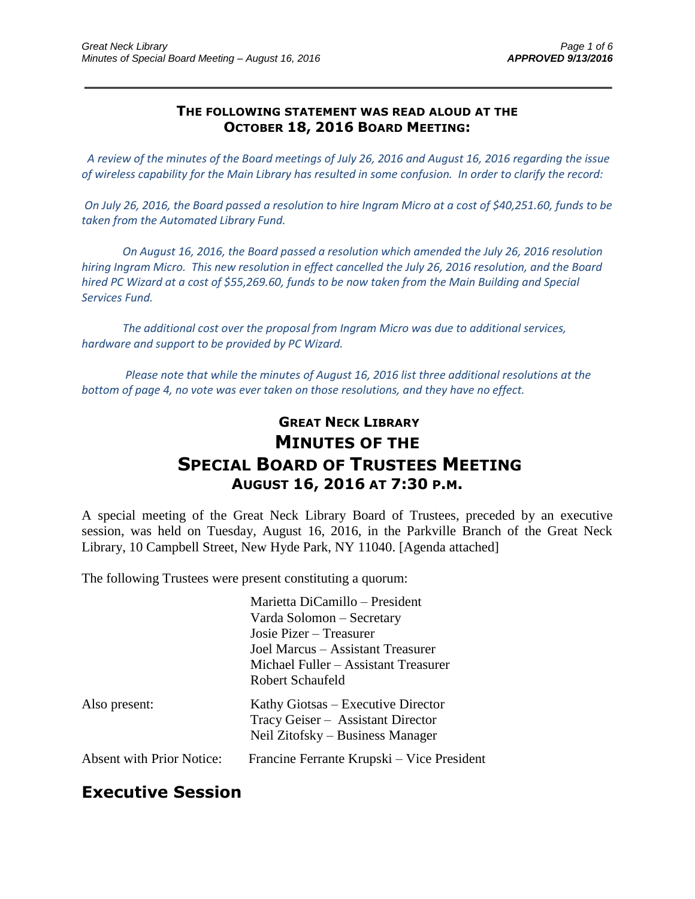#### **THE FOLLOWING STATEMENT WAS READ ALOUD AT THE OCTOBER 18, 2016 BOARD MEETING:**

\_\_\_\_\_\_\_\_\_\_\_\_\_\_\_\_\_\_\_\_\_\_\_\_\_\_\_\_\_\_\_\_\_\_\_\_\_\_\_\_\_\_\_\_\_\_\_\_\_\_\_\_\_\_\_\_\_\_\_\_\_\_\_\_\_\_\_\_\_\_\_\_\_\_\_\_\_\_\_\_\_\_\_\_\_\_\_\_\_\_\_\_\_

*A review of the minutes of the Board meetings of July 26, 2016 and August 16, 2016 regarding the issue of wireless capability for the Main Library has resulted in some confusion. In order to clarify the record:*

*On July 26, 2016, the Board passed a resolution to hire Ingram Micro at a cost of \$40,251.60, funds to be taken from the Automated Library Fund.*

*On August 16, 2016, the Board passed a resolution which amended the July 26, 2016 resolution hiring Ingram Micro. This new resolution in effect cancelled the July 26, 2016 resolution, and the Board hired PC Wizard at a cost of \$55,269.60, funds to be now taken from the Main Building and Special Services Fund.*

*The additional cost over the proposal from Ingram Micro was due to additional services, hardware and support to be provided by PC Wizard.*

*Please note that while the minutes of August 16, 2016 list three additional resolutions at the bottom of page 4, no vote was ever taken on those resolutions, and they have no effect.*

## **GREAT NECK LIBRARY MINUTES OF THE SPECIAL BOARD OF TRUSTEES MEETING AUGUST 16, 2016 AT 7:30 P.M.**

A special meeting of the Great Neck Library Board of Trustees, preceded by an executive session, was held on Tuesday, August 16, 2016, in the Parkville Branch of the Great Neck Library, 10 Campbell Street, New Hyde Park, NY 11040. [Agenda attached]

The following Trustees were present constituting a quorum:

|                                  | Marietta DiCamillo – President                                                                              |
|----------------------------------|-------------------------------------------------------------------------------------------------------------|
|                                  | Varda Solomon – Secretary                                                                                   |
|                                  | Josie Pizer – Treasurer                                                                                     |
|                                  | Joel Marcus – Assistant Treasurer                                                                           |
|                                  | Michael Fuller – Assistant Treasurer                                                                        |
|                                  | Robert Schaufeld                                                                                            |
| Also present:                    | Kathy Giotsas – Executive Director<br>Tracy Geiser - Assistant Director<br>Neil Zitofsky – Business Manager |
| <b>Absent with Prior Notice:</b> | Francine Ferrante Krupski – Vice President                                                                  |

### **Executive Session**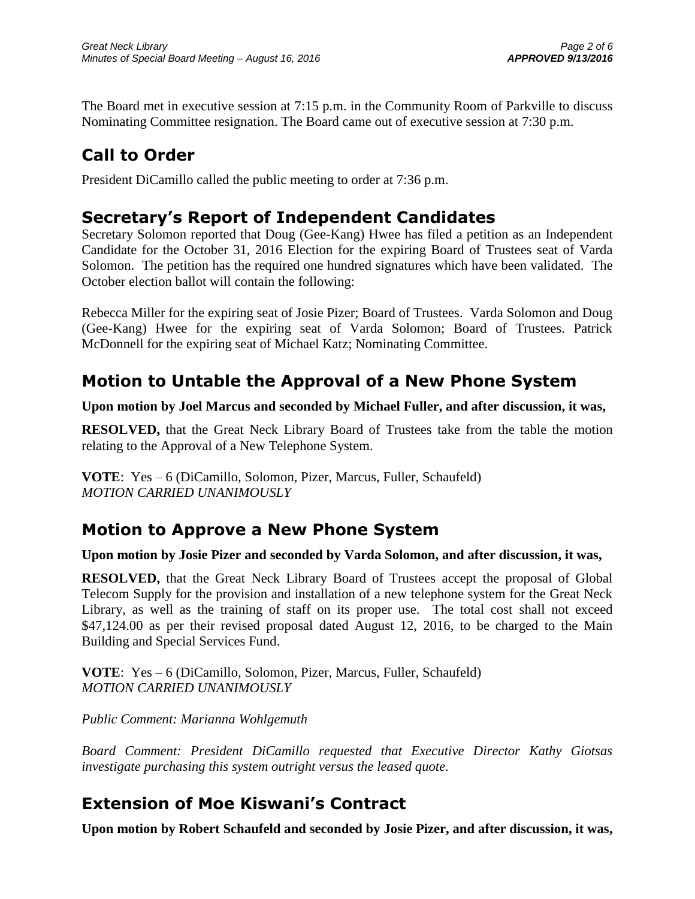The Board met in executive session at 7:15 p.m. in the Community Room of Parkville to discuss Nominating Committee resignation. The Board came out of executive session at 7:30 p.m.

# **Call to Order**

President DiCamillo called the public meeting to order at 7:36 p.m.

## **Secretary's Report of Independent Candidates**

Secretary Solomon reported that Doug (Gee-Kang) Hwee has filed a petition as an Independent Candidate for the October 31, 2016 Election for the expiring Board of Trustees seat of Varda Solomon. The petition has the required one hundred signatures which have been validated. The October election ballot will contain the following:

Rebecca Miller for the expiring seat of Josie Pizer; Board of Trustees. Varda Solomon and Doug (Gee-Kang) Hwee for the expiring seat of Varda Solomon; Board of Trustees. Patrick McDonnell for the expiring seat of Michael Katz; Nominating Committee.

## **Motion to Untable the Approval of a New Phone System**

**Upon motion by Joel Marcus and seconded by Michael Fuller, and after discussion, it was,**

**RESOLVED,** that the Great Neck Library Board of Trustees take from the table the motion relating to the Approval of a New Telephone System.

**VOTE**: Yes – 6 (DiCamillo, Solomon, Pizer, Marcus, Fuller, Schaufeld) *MOTION CARRIED UNANIMOUSLY*

## **Motion to Approve a New Phone System**

**Upon motion by Josie Pizer and seconded by Varda Solomon, and after discussion, it was,**

**RESOLVED,** that the Great Neck Library Board of Trustees accept the proposal of Global Telecom Supply for the provision and installation of a new telephone system for the Great Neck Library, as well as the training of staff on its proper use. The total cost shall not exceed \$47,124.00 as per their revised proposal dated August 12, 2016, to be charged to the Main Building and Special Services Fund.

**VOTE**: Yes – 6 (DiCamillo, Solomon, Pizer, Marcus, Fuller, Schaufeld) *MOTION CARRIED UNANIMOUSLY*

*Public Comment: Marianna Wohlgemuth*

*Board Comment: President DiCamillo requested that Executive Director Kathy Giotsas investigate purchasing this system outright versus the leased quote.* 

## **Extension of Moe Kiswani's Contract**

**Upon motion by Robert Schaufeld and seconded by Josie Pizer, and after discussion, it was,**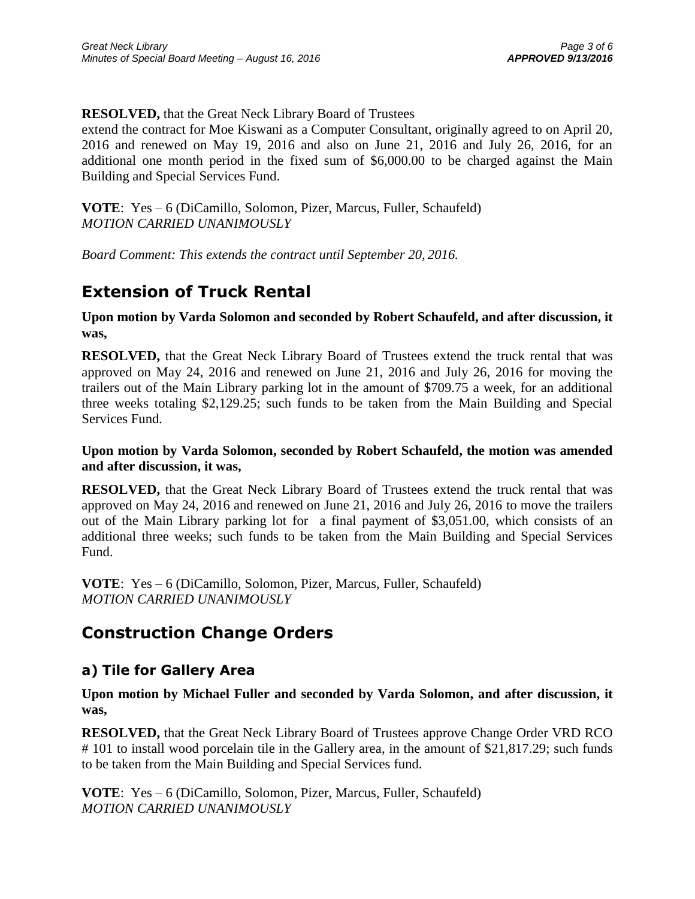**RESOLVED,** that the Great Neck Library Board of Trustees

extend the contract for Moe Kiswani as a Computer Consultant, originally agreed to on April 20, 2016 and renewed on May 19, 2016 and also on June 21, 2016 and July 26, 2016, for an additional one month period in the fixed sum of \$6,000.00 to be charged against the Main Building and Special Services Fund.

**VOTE**: Yes – 6 (DiCamillo, Solomon, Pizer, Marcus, Fuller, Schaufeld) *MOTION CARRIED UNANIMOUSLY*

*Board Comment: This extends the contract until September 20, 2016.*

## **Extension of Truck Rental**

**Upon motion by Varda Solomon and seconded by Robert Schaufeld, and after discussion, it was,**

**RESOLVED,** that the Great Neck Library Board of Trustees extend the truck rental that was approved on May 24, 2016 and renewed on June 21, 2016 and July 26, 2016 for moving the trailers out of the Main Library parking lot in the amount of \$709.75 a week, for an additional three weeks totaling \$2,129.25; such funds to be taken from the Main Building and Special Services Fund.

#### **Upon motion by Varda Solomon, seconded by Robert Schaufeld, the motion was amended and after discussion, it was,**

**RESOLVED,** that the Great Neck Library Board of Trustees extend the truck rental that was approved on May 24, 2016 and renewed on June 21, 2016 and July 26, 2016 to move the trailers out of the Main Library parking lot for a final payment of \$3,051.00, which consists of an additional three weeks; such funds to be taken from the Main Building and Special Services Fund.

**VOTE**: Yes – 6 (DiCamillo, Solomon, Pizer, Marcus, Fuller, Schaufeld) *MOTION CARRIED UNANIMOUSLY*

## **Construction Change Orders**

### **a) Tile for Gallery Area**

**Upon motion by Michael Fuller and seconded by Varda Solomon, and after discussion, it was,**

**RESOLVED,** that the Great Neck Library Board of Trustees approve Change Order VRD RCO # 101 to install wood porcelain tile in the Gallery area, in the amount of \$21,817.29; such funds to be taken from the Main Building and Special Services fund.

**VOTE**: Yes – 6 (DiCamillo, Solomon, Pizer, Marcus, Fuller, Schaufeld) *MOTION CARRIED UNANIMOUSLY*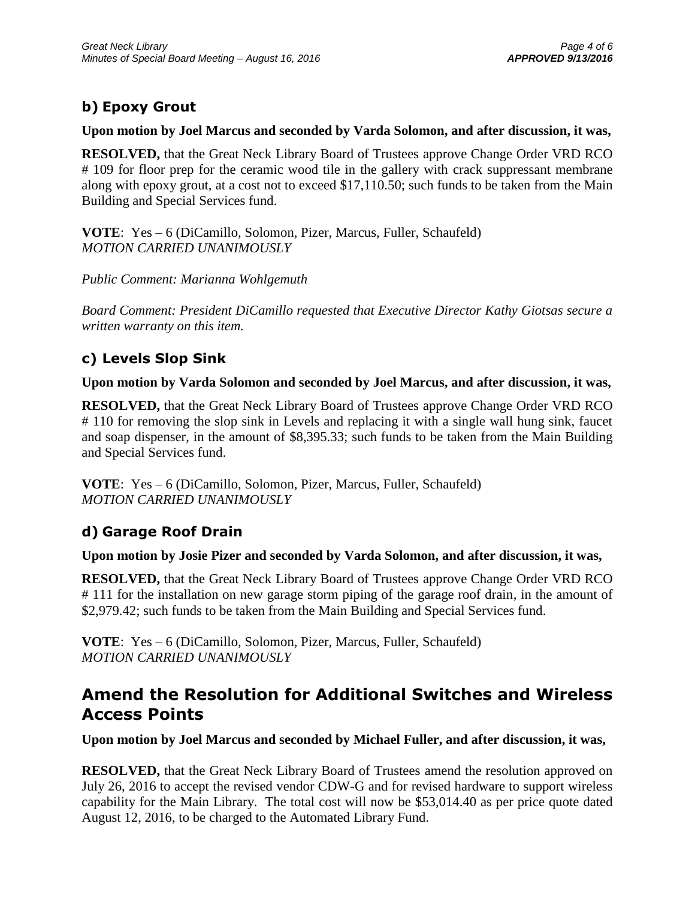### **b) Epoxy Grout**

**Upon motion by Joel Marcus and seconded by Varda Solomon, and after discussion, it was,**

**RESOLVED,** that the Great Neck Library Board of Trustees approve Change Order VRD RCO # 109 for floor prep for the ceramic wood tile in the gallery with crack suppressant membrane along with epoxy grout, at a cost not to exceed \$17,110.50; such funds to be taken from the Main Building and Special Services fund.

**VOTE**: Yes – 6 (DiCamillo, Solomon, Pizer, Marcus, Fuller, Schaufeld) *MOTION CARRIED UNANIMOUSLY*

*Public Comment: Marianna Wohlgemuth*

*Board Comment: President DiCamillo requested that Executive Director Kathy Giotsas secure a written warranty on this item.*

### **c) Levels Slop Sink**

**Upon motion by Varda Solomon and seconded by Joel Marcus, and after discussion, it was,**

**RESOLVED,** that the Great Neck Library Board of Trustees approve Change Order VRD RCO # 110 for removing the slop sink in Levels and replacing it with a single wall hung sink, faucet and soap dispenser, in the amount of \$8,395.33; such funds to be taken from the Main Building and Special Services fund.

**VOTE**: Yes – 6 (DiCamillo, Solomon, Pizer, Marcus, Fuller, Schaufeld) *MOTION CARRIED UNANIMOUSLY*

### **d) Garage Roof Drain**

#### **Upon motion by Josie Pizer and seconded by Varda Solomon, and after discussion, it was,**

**RESOLVED,** that the Great Neck Library Board of Trustees approve Change Order VRD RCO # 111 for the installation on new garage storm piping of the garage roof drain, in the amount of \$2,979.42; such funds to be taken from the Main Building and Special Services fund.

**VOTE**: Yes – 6 (DiCamillo, Solomon, Pizer, Marcus, Fuller, Schaufeld) *MOTION CARRIED UNANIMOUSLY*

### **Amend the Resolution for Additional Switches and Wireless Access Points**

**Upon motion by Joel Marcus and seconded by Michael Fuller, and after discussion, it was,**

**RESOLVED,** that the Great Neck Library Board of Trustees amend the resolution approved on July 26, 2016 to accept the revised vendor CDW-G and for revised hardware to support wireless capability for the Main Library. The total cost will now be \$53,014.40 as per price quote dated August 12, 2016, to be charged to the Automated Library Fund.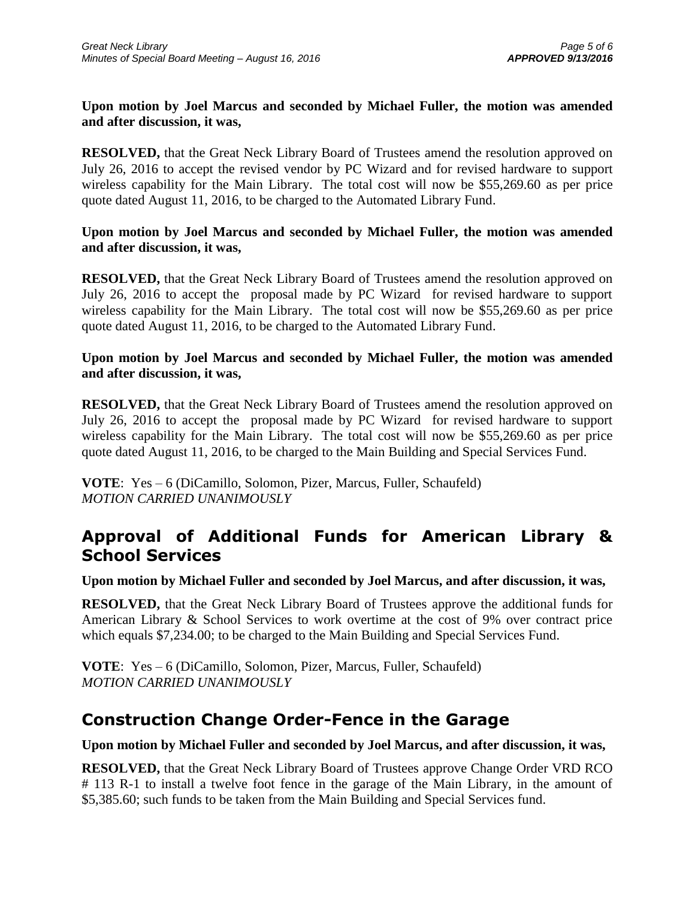#### **Upon motion by Joel Marcus and seconded by Michael Fuller, the motion was amended and after discussion, it was,**

**RESOLVED,** that the Great Neck Library Board of Trustees amend the resolution approved on July 26, 2016 to accept the revised vendor by PC Wizard and for revised hardware to support wireless capability for the Main Library. The total cost will now be \$55,269.60 as per price quote dated August 11, 2016, to be charged to the Automated Library Fund.

#### **Upon motion by Joel Marcus and seconded by Michael Fuller, the motion was amended and after discussion, it was,**

**RESOLVED,** that the Great Neck Library Board of Trustees amend the resolution approved on July 26, 2016 to accept the proposal made by PC Wizard for revised hardware to support wireless capability for the Main Library. The total cost will now be \$55,269.60 as per price quote dated August 11, 2016, to be charged to the Automated Library Fund.

#### **Upon motion by Joel Marcus and seconded by Michael Fuller, the motion was amended and after discussion, it was,**

**RESOLVED,** that the Great Neck Library Board of Trustees amend the resolution approved on July 26, 2016 to accept the proposal made by PC Wizard for revised hardware to support wireless capability for the Main Library. The total cost will now be \$55,269.60 as per price quote dated August 11, 2016, to be charged to the Main Building and Special Services Fund.

**VOTE**: Yes – 6 (DiCamillo, Solomon, Pizer, Marcus, Fuller, Schaufeld) *MOTION CARRIED UNANIMOUSLY*

### **Approval of Additional Funds for American Library & School Services**

**Upon motion by Michael Fuller and seconded by Joel Marcus, and after discussion, it was,**

**RESOLVED,** that the Great Neck Library Board of Trustees approve the additional funds for American Library & School Services to work overtime at the cost of 9% over contract price which equals \$7,234.00; to be charged to the Main Building and Special Services Fund.

**VOTE**: Yes – 6 (DiCamillo, Solomon, Pizer, Marcus, Fuller, Schaufeld) *MOTION CARRIED UNANIMOUSLY*

### **Construction Change Order-Fence in the Garage**

#### **Upon motion by Michael Fuller and seconded by Joel Marcus, and after discussion, it was,**

**RESOLVED,** that the Great Neck Library Board of Trustees approve Change Order VRD RCO # 113 R-1 to install a twelve foot fence in the garage of the Main Library, in the amount of \$5,385.60; such funds to be taken from the Main Building and Special Services fund.